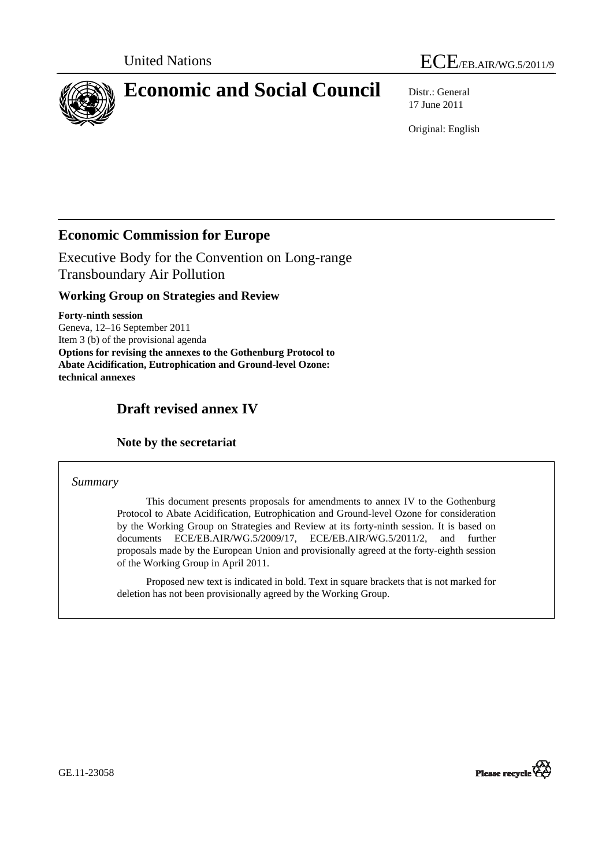



# **Economic and Social Council** Distr.: General

17 June 2011

Original: English

## **Economic Commission for Europe**

Executive Body for the Convention on Long-range Transboundary Air Pollution

## **Working Group on Strategies and Review**

**Forty-ninth session**  Geneva, 12–16 September 2011 Item 3 (b) of the provisional agenda **Options for revising the annexes to the Gothenburg Protocol to Abate Acidification, Eutrophication and Ground-level Ozone: technical annexes** 

# **Draft revised annex IV**

### **Note by the secretariat**

#### *Summary*

 This document presents proposals for amendments to annex IV to the Gothenburg Protocol to Abate Acidification, Eutrophication and Ground-level Ozone for consideration by the Working Group on Strategies and Review at its forty-ninth session. It is based on documents ECE/EB.AIR/WG.5/2009/17, ECE/EB.AIR/WG.5/2011/2, and further proposals made by the European Union and provisionally agreed at the forty-eighth session of the Working Group in April 2011.

 Proposed new text is indicated in bold. Text in square brackets that is not marked for deletion has not been provisionally agreed by the Working Group.



GE.11-23058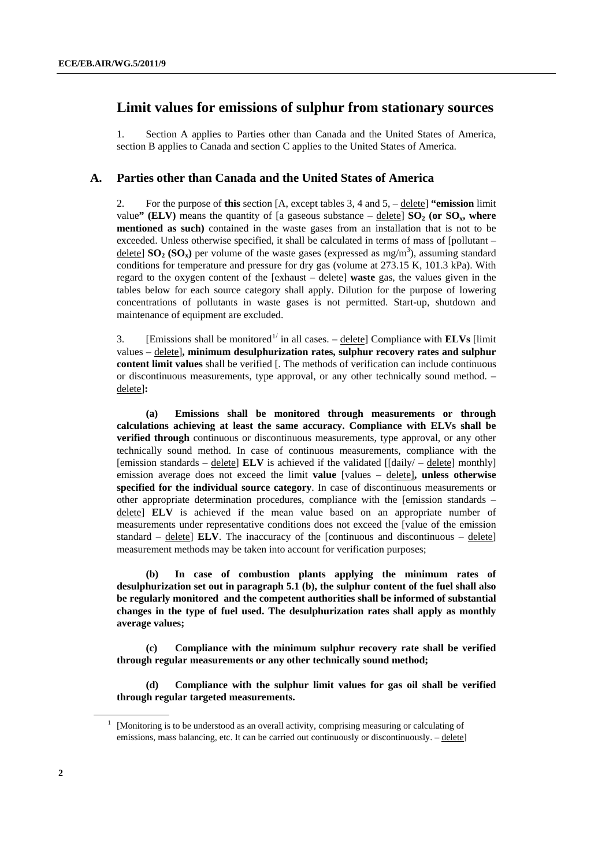## <span id="page-1-0"></span> **Limit values for emissions of sulphur from stationary sources**

1. Section A applies to Parties other than Canada and the United States of America, section B applies to Canada and section C applies to the United States of America.

#### **A. Parties other than Canada and the United States of America**

2. For the purpose of **this** section [A, except tables 3, 4 and 5, – delete] **"emission** limit value" (ELV) means the quantity of [a gaseous substance  $-\underline{\text{delete}}$ ] **SO<sub>2</sub>** (or **SO<sub>x</sub>, where mentioned as such)** contained in the waste gases from an installation that is not to be exceeded. Unless otherwise specified, it shall be calculated in terms of mass of [pollutant – delete]  $SO_2 (SO_x)$  per volume of the waste gases (expressed as mg/m<sup>3</sup>), assuming standard conditions for temperature and pressure for dry gas (volume at 273.15 K, 101.3 kPa). With regard to the oxygen content of the [exhaust – delete] **waste** gas, the values given in the tables below for each source category shall apply. Dilution for the purpose of lowering concentrations of pollutants in waste gases is not permitted. Start-up, shutdown and maintenance of equipment are excluded.

3. [Emissions shall be monitored<sup>[1](#page-1-0)/</sup> in all cases.  $-\text{delete}$ ] Compliance with **ELVs** [limit values – delete]**, minimum desulphurization rates, sulphur recovery rates and sulphur content limit values** shall be verified [. The methods of verification can include continuous or discontinuous measurements, type approval, or any other technically sound method. – delete]**:** 

**(a) Emissions shall be monitored through measurements or through calculations achieving at least the same accuracy. Compliance with ELVs shall be verified through** continuous or discontinuous measurements, type approval, or any other technically sound method. In case of continuous measurements, compliance with the [emission standards – delete] **ELV** is achieved if the validated  $[[daily] - \text{delete}]$  monthly] emission average does not exceed the limit **value** [values – delete]**, unless otherwise specified for the individual source category**. In case of discontinuous measurements or other appropriate determination procedures, compliance with the [emission standards – delete] **ELV** is achieved if the mean value based on an appropriate number of measurements under representative conditions does not exceed the [value of the emission standard  $-$  delete] **ELV**. The inaccuracy of the [continuous and discontinuous  $-$  delete] measurement methods may be taken into account for verification purposes;

**(b) In case of combustion plants applying the minimum rates of desulphurization set out in paragraph 5.1 (b), the sulphur content of the fuel shall also be regularly monitored and the competent authorities shall be informed of substantial changes in the type of fuel used. The desulphurization rates shall apply as monthly average values;** 

 **(c) Compliance with the minimum sulphur recovery rate shall be verified through regular measurements or any other technically sound method;** 

 **(d) Compliance with the sulphur limit values for gas oil shall be verified through regular targeted measurements.** 

<sup>1</sup> [Monitoring is to be understood as an overall activity, comprising measuring or calculating of emissions, mass balancing, etc. It can be carried out continuously or discontinuously. – delete]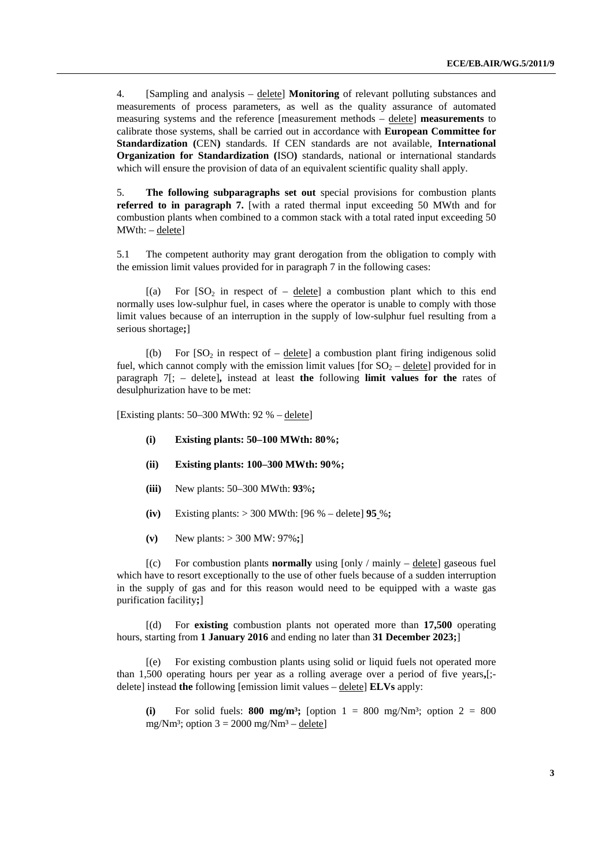4. [Sampling and analysis – delete] **Monitoring** of relevant polluting substances and measurements of process parameters, as well as the quality assurance of automated measuring systems and the reference [measurement methods – delete] **measurements** to calibrate those systems, shall be carried out in accordance with **European Committee for Standardization (**CEN**)** standards. If CEN standards are not available, **International Organization for Standardization** (ISO) standards, national or international standards which will ensure the provision of data of an equivalent scientific quality shall apply.

5. **The following subparagraphs set out** special provisions for combustion plants **referred to in paragraph 7.** [with a rated thermal input exceeding 50 MWth and for combustion plants when combined to a common stack with a total rated input exceeding 50 MWth: – delete]

5.1 The competent authority may grant derogation from the obligation to comply with the emission limit values provided for in paragraph 7 in the following cases:

 $[(a)$  For  $[SO<sub>2</sub>$  in respect of – delete) a combustion plant which to this end normally uses low-sulphur fuel, in cases where the operator is unable to comply with those limit values because of an interruption in the supply of low-sulphur fuel resulting from a serious shortage**;**]

 $[(b)$  For  $[SO_2]$  in respect of – delete] a combustion plant firing indigenous solid fuel, which cannot comply with the emission limit values [for  $SO_2$  – delete] provided for in paragraph 7[; – delete]**,** instead at least **the** following **limit values for the** rates of desulphurization have to be met:

[Existing plants: 50–300 MWth: 92 % – delete]

- **(i) Existing plants: 50–100 MWth: 80%;**
- **(ii) Existing plants: 100–300 MWth: 90%;**
- **(iii)** New plants: 50–300 MWth: **93**%**;**
- **(iv)** Existing plants: > 300 MWth: [96 % delete] **95** %**;**
- **(v)** New plants: > 300 MW: 97%**;**]

 [(c) For combustion plants **normally** using [only / mainly – delete] gaseous fuel which have to resort exceptionally to the use of other fuels because of a sudden interruption in the supply of gas and for this reason would need to be equipped with a waste gas purification facility**;**]

 [(d) For **existing** combustion plants not operated more than **17,500** operating hours, starting from **1 January 2016** and ending no later than **31 December 2023;**]

 [(e) For existing combustion plants using solid or liquid fuels not operated more than 1,500 operating hours per year as a rolling average over a period of five years**,**[; delete] instead **the** following [emission limit values – delete] **ELVs** apply:

(i) For solid fuels: **800 mg/m<sup>3</sup>;** [option  $1 = 800$  mg/Nm<sup>3</sup>; option  $2 = 800$ mg/Nm<sup>3</sup>; option  $3 = 2000$  mg/Nm<sup>3</sup> – delete]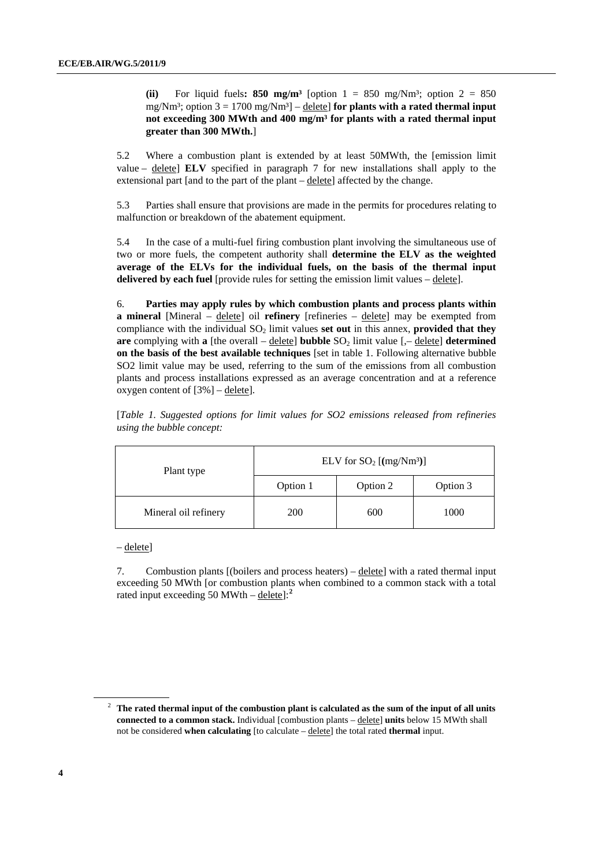**(ii)** For liquid fuels: **850 mg/m<sup>3</sup>** [option  $1 = 850$  mg/Nm<sup>3</sup>; option  $2 = 850$ mg/Nm<sup>3</sup>; option  $3 = 1700$  mg/Nm<sup>3</sup> $] -$  delete] **for plants with a rated thermal input not exceeding 300 MWth and 400 mg/m³ for plants with a rated thermal input greater than 300 MWth.**]

5.2 Where a combustion plant is extended by at least 50MWth, the [emission limit value – delete] **ELV** specified in paragraph 7 for new installations shall apply to the extensional part [and to the part of the plant – delete] affected by the change.

5.3 Parties shall ensure that provisions are made in the permits for procedures relating to malfunction or breakdown of the abatement equipment.

<span id="page-3-0"></span>5.4 In the case of a multi-fuel firing combustion plant involving the simultaneous use of two or more fuels, the competent authority shall **determine the ELV as the weighted average of the ELVs for the individual fuels, on the basis of the thermal input delivered by each fuel** [provide rules for setting the emission limit values – delete].

6. **Parties may apply rules by which combustion plants and process plants within a mineral** [Mineral – delete] oil **refinery** [refineries – delete] may be exempted from compliance with the individual SO<sub>2</sub> limit values set out in this annex, provided that they **are** complying with **a** [the overall –  $\underline{\text{delete}}$ ] **bubble**  $SO_2$  limit value [ $\text{-} \underline{\text{delete}}$ ] **determined on the basis of the best available techniques** [set in table 1. Following alternative bubble SO2 limit value may be used, referring to the sum of the emissions from all combustion plants and process installations expressed as an average concentration and at a reference oxygen content of  $[3\%]$  – delete].

[*Table 1. Suggested options for limit values for SO2 emissions released from refineries using the bubble concept:* 

| Plant type           | ELV for $SO_2$ [(mg/Nm <sup>3</sup> )] |          |          |  |
|----------------------|----------------------------------------|----------|----------|--|
|                      | Option 1                               | Option 2 | Option 3 |  |
| Mineral oil refinery | 200                                    | 600      | 1000     |  |

– delete]

7. Combustion plants [(boilers and process heaters) – delete] with a rated thermal input exceeding 50 MWth [or combustion plants when combined to a common stack with a total rated input exceeding 50 MWth – delete]:**[2](#page-3-0)**

<sup>2</sup> **The rated thermal input of the combustion plant is calculated as the sum of the input of all units connected to a common stack.** Individual [combustion plants – delete] **units** below 15 MWth shall not be considered **when calculating** [to calculate – delete] the total rated **thermal** input.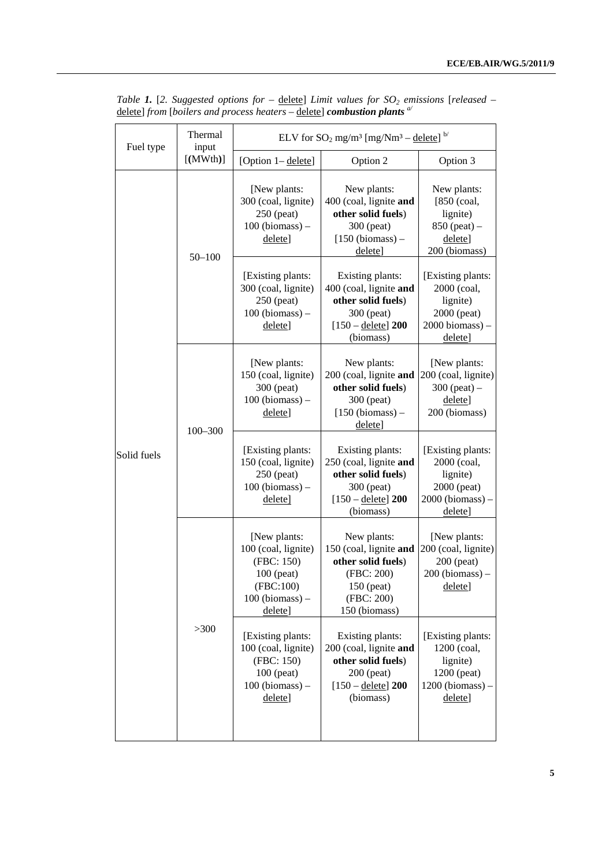| Fuel type   | Thermal<br>input                                                                                                    | ELV for $SO_2$ mg/m <sup>3</sup> [mg/Nm <sup>3</sup> – delete] <sup>b/</sup>             |                                                                                                                            |                                                                                                |  |
|-------------|---------------------------------------------------------------------------------------------------------------------|------------------------------------------------------------------------------------------|----------------------------------------------------------------------------------------------------------------------------|------------------------------------------------------------------------------------------------|--|
|             | [ (MWth)]                                                                                                           | [Option 1-delete]                                                                        | Option 2                                                                                                                   | Option 3                                                                                       |  |
| Solid fuels | $50 - 100$                                                                                                          | [New plants:<br>300 (coal, lignite)<br>$250$ (peat)<br>$100$ (biomass) $-$<br>delete]    | New plants:<br>400 (coal, lignite and<br>other solid fuels)<br>300 (peat)<br>$[150 (biomass) -$<br>delete]                 | New plants:<br>$[850$ (coal,<br>lignite)<br>$850$ (peat) –<br>delete]<br>200 (biomass)         |  |
|             |                                                                                                                     | [Existing plants:<br>300 (coal, lignite)<br>250 (peat)<br>$100$ (biomass) $-$<br>delete] | Existing plants:<br>400 (coal, lignite and<br>other solid fuels)<br>300 (peat)<br>$[150 - \text{delete}]$ 200<br>(biomass) | [Existing plants:<br>2000 (coal,<br>lignite)<br>2000 (peat)<br>$2000$ biomass) $-$<br>delete]  |  |
|             | $100 - 300$                                                                                                         | [New plants:<br>150 (coal, lignite)<br>300 (peat)<br>$100$ (biomass) $-$<br>delete]      | New plants:<br>200 (coal, lignite and<br>other solid fuels)<br>300 (peat)<br>$[150 (biomass) -$<br>delete]                 | [New plants:<br>200 (coal, lignite)<br>$300$ (peat) –<br>delete]<br>200 (biomass)              |  |
|             |                                                                                                                     | [Existing plants:<br>150 (coal, lignite)<br>250 (peat)<br>$100$ (biomass) $-$<br>delete] | Existing plants:<br>250 (coal, lignite and<br>other solid fuels)<br>300 (peat)<br>$[150 - \text{delete}]$ 200<br>(biomass) | [Existing plants:<br>2000 (coal,<br>lignite)<br>2000 (peat)<br>$2000$ (biomass) $-$<br>delete] |  |
|             | [New plants:<br>(FBC: 150)<br>100 (peat)<br>(FBC:100)<br>delete]<br>$>300$<br>(FBC: 150)<br>$100$ (peat)<br>delete] | 100 (coal, lignite)<br>$100$ (biomass) –                                                 | New plants:<br>150 (coal, lignite and<br>other solid fuels)<br>(FBC: 200)<br>150 (peat)<br>(FBC: 200)<br>150 (biomass)     | [New plants:<br>200 (coal, lignite)<br>200 (peat)<br>$200$ (biomass) $-$<br>delete]            |  |
|             |                                                                                                                     | [Existing plants:<br>100 (coal, lignite)<br>$100$ (biomass) $-$                          | Existing plants:<br>200 (coal, lignite and<br>other solid fuels)<br>200 (peat)<br>$[150 - \text{delete}]$ 200<br>(biomass) | [Existing plants:<br>1200 (coal,<br>lignite)<br>1200 (peat)<br>$1200$ (biomass) $-$<br>delete] |  |

*Table 1.* [2. Suggested options for – delete] Limit values for SO<sub>2</sub> emissions [released – delete] *from* [*boilers and process heaters* – delete] *combustion plants a/*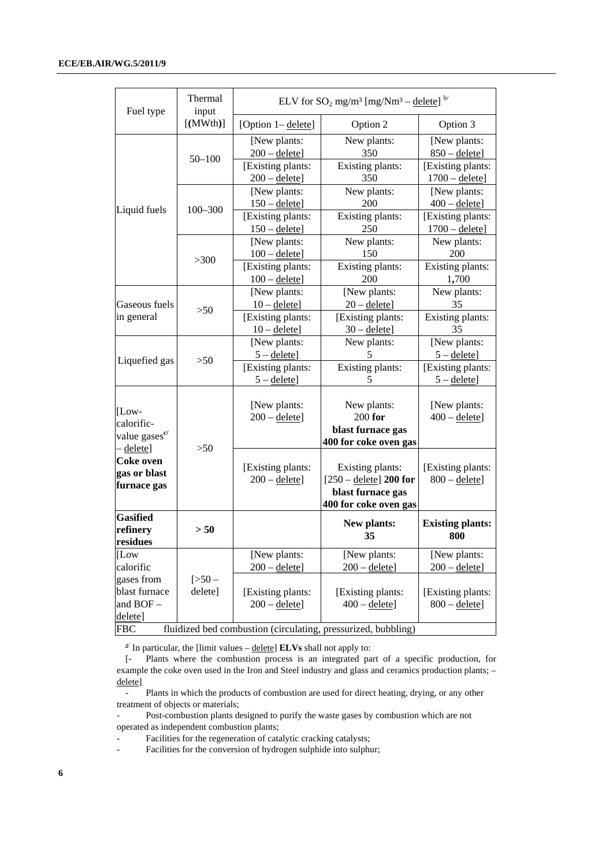| Fuel type                                                                   | Thermal<br>input   | ELV for $SO_2$ mg/m <sup>3</sup> [mg/Nm <sup>3</sup> – delete] <sup>b/</sup> |                                                                                                   |                                       |  |
|-----------------------------------------------------------------------------|--------------------|------------------------------------------------------------------------------|---------------------------------------------------------------------------------------------------|---------------------------------------|--|
|                                                                             | $[$ (MWth)]        | [Option 1-delete]                                                            | Option 2                                                                                          | Option 3                              |  |
|                                                                             | $50 - 100$         | [New plants:<br>$200 -$ delete]                                              | New plants:<br>350                                                                                | [New plants:<br>$850 -$ delete]       |  |
|                                                                             |                    | [Existing plants:<br>$200 -$ delete]                                         | Existing plants:<br>350                                                                           | [Existing plants:<br>$1700 -$ delete] |  |
|                                                                             |                    | [New plants:<br>$150 -$ delete]                                              | New plants:<br>200                                                                                | [New plants:<br>$400 -$ delete]       |  |
| Liquid fuels                                                                | $100 - 300$        | [Existing plants:<br>$150 -$ delete]                                         | Existing plants:<br>250                                                                           | [Existing plants:<br>$1700 -$ delete] |  |
|                                                                             |                    | [New plants:<br>$100 -$ delete]                                              | New plants:<br>150                                                                                | New plants:<br>200                    |  |
|                                                                             | >300               | [Existing plants:<br>$100 -$ delete]                                         | Existing plants:<br>200                                                                           | Existing plants:<br>1,700             |  |
| Gaseous fuels                                                               | >50                | [New plants:<br>$10 -$ delete]                                               | [New plants:<br>$20 -$ delete]                                                                    | New plants:<br>35                     |  |
| in general                                                                  |                    | [Existing plants:<br>$10 -$ delete]                                          | [Existing plants:<br>$30 -$ delete]                                                               | Existing plants:<br>35                |  |
| Liquefied gas                                                               | >50                | [New plants:<br>$5 -$ delete]                                                | New plants:<br>5                                                                                  | [New plants:<br>$5 -$ delete]         |  |
|                                                                             |                    | [Existing plants:<br>$5 -$ delete]                                           | Existing plants:<br>5                                                                             | [Existing plants:<br>$5 -$ delete]    |  |
| $[Low-$<br>calorific-<br>value gases <sup>c</sup> /                         |                    | [New plants:<br>$200 -$ delete]                                              | New plants:<br>$200$ for<br>blast furnace gas<br>400 for coke oven gas                            | [New plants:<br>$400 -$ delete]       |  |
| - delete]<br>Coke oven<br>gas or blast<br>furnace gas                       | >50                | [Existing plants:<br>$200 -$ delete]                                         | Existing plants:<br>$[250 - \text{delete}]$ 200 for<br>blast furnace gas<br>400 for coke oven gas | [Existing plants:<br>$800 -$ delete]  |  |
| <b>Gasified</b><br>refinery<br>residues                                     | > 50               |                                                                              | New plants:<br>35                                                                                 | <b>Existing plants:</b><br>800        |  |
| [Low<br>calorific                                                           |                    | [New plants:<br>$200 -$ delete]                                              | [New plants:<br>$200 -$ delete]                                                                   | [New plants:<br>$200 -$ delete]       |  |
| gases from<br>blast furnace<br>and BOF-<br>delete]                          | $[>50-$<br>delete] | [Existing plants:<br>$200 -$ delete]                                         | [Existing plants:<br>$400 -$ delete]                                                              | [Existing plants:<br>$800 -$ delete]  |  |
| fluidized bed combustion (circulating, pressurized, bubbling)<br><b>FBC</b> |                    |                                                                              |                                                                                                   |                                       |  |

 $\frac{a}{a}$  In particular, the [limit values – delete] **ELVs** shall not apply to:

[- Plants where the combustion process is an integrated part of a specific production, for example the coke oven used in the Iron and Steel industry and glass and ceramics production plants; – delete]

- Plants in which the products of combustion are used for direct heating, drying, or any other treatment of objects or materials;

Post-combustion plants designed to purify the waste gases by combustion which are not operated as independent combustion plants;

Facilities for the regeneration of catalytic cracking catalysts;

- Facilities for the conversion of hydrogen sulphide into sulphur;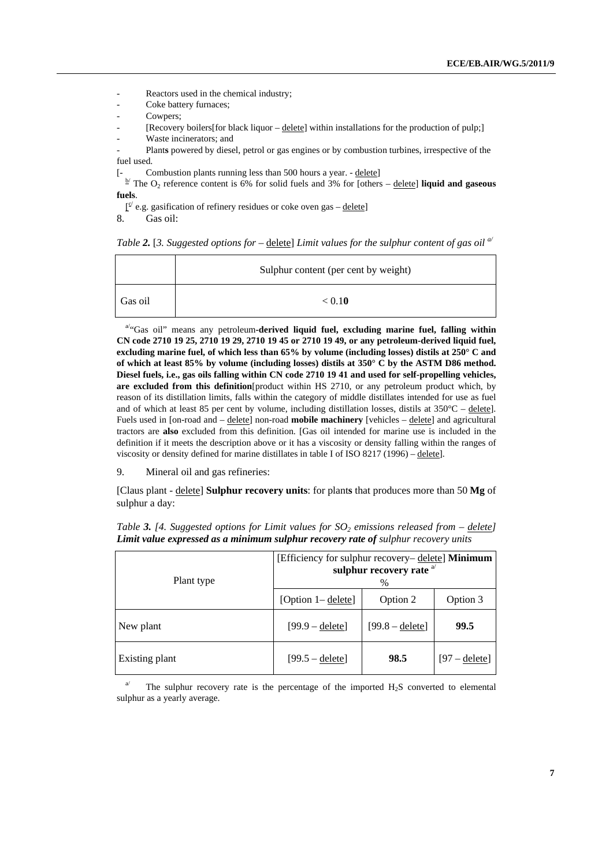Reactors used in the chemical industry;

Coke battery furnaces;

Cowpers;

[Recovery boilers] for black liquor – delete] within installations for the production of pulp;]

Waste incinerators; and

Plants powered by diesel, petrol or gas engines or by combustion turbines, irrespective of the fuel used.

[- Combustion plants running less than 500 hours a year. - delete]

<sup> $\frac{b'}{c}$ </sup> The O<sub>2</sub> reference content is 6% for solid fuels and 3% for [others – delete] **liquid and gaseous fuels**.

 $\underline{f}^{\leq}$  e.g. gasification of refinery residues or coke oven gas – delete]

8. Gas oil:

|  | Table 2. [3. Suggested options for – delete] Limit values for the sulphur content of gas oil $\mathbb{R}^d$ |  |  |  |  |
|--|-------------------------------------------------------------------------------------------------------------|--|--|--|--|
|  |                                                                                                             |  |  |  |  |

|         | Sulphur content (per cent by weight) |
|---------|--------------------------------------|
| Gas oil | < 0.10                               |

a/"Gas oil" means any petroleum**-derived liquid fuel, excluding marine fuel, falling within CN code 2710 19 25, 2710 19 29, 2710 19 45 or 2710 19 49, or any petroleum-derived liquid fuel, excluding marine fuel, of which less than 65% by volume (including losses) distils at 250° C and of which at least 85% by volume (including losses) distils at 350° C by the ASTM D86 method. Diesel fuels, i.e., gas oils falling within CN code 2710 19 41 and used for self-propelling vehicles, are excluded from this definition**[product within HS 2710, or any petroleum product which, by reason of its distillation limits, falls within the category of middle distillates intended for use as fuel and of which at least 85 per cent by volume, including distillation losses, distils at  $350^{\circ}C -$  delete]. Fuels used in [on-road and – delete] non-road **mobile machinery** [vehicles – delete] and agricultural tractors are **also** excluded from this definition. [Gas oil intended for marine use is included in the definition if it meets the description above or it has a viscosity or density falling within the ranges of viscosity or density defined for marine distillates in table I of ISO 8217 (1996) – delete].

9. Mineral oil and gas refineries:

[Claus plant - delete] **Sulphur recovery units**: for plant**s** that produces more than 50 **Mg** of sulphur a day:

| Plant type     | [Efficiency for sulphur recovery– delete] Minimum<br>sulphur recovery rate <sup>a/</sup><br>% |                   |                 |  |  |
|----------------|-----------------------------------------------------------------------------------------------|-------------------|-----------------|--|--|
|                | [Option 1– delete]                                                                            | Option 2          | Option 3        |  |  |
| New plant      | $[99.9 - delete]$                                                                             | $[99.8 - delete]$ | 99.5            |  |  |
| Existing plant | $[99.5 -$ delete]                                                                             | 98.5              | $[97 -$ delete] |  |  |

*Table 3. [4. Suggested options for Limit values for*  $SO<sub>2</sub>$  *emissions released from – delete] Limit value expressed as a minimum sulphur recovery rate of sulphur recovery units* 

<sup>a</sup> The sulphur recovery rate is the percentage of the imported H<sub>2</sub>S converted to elemental sulphur as a yearly average.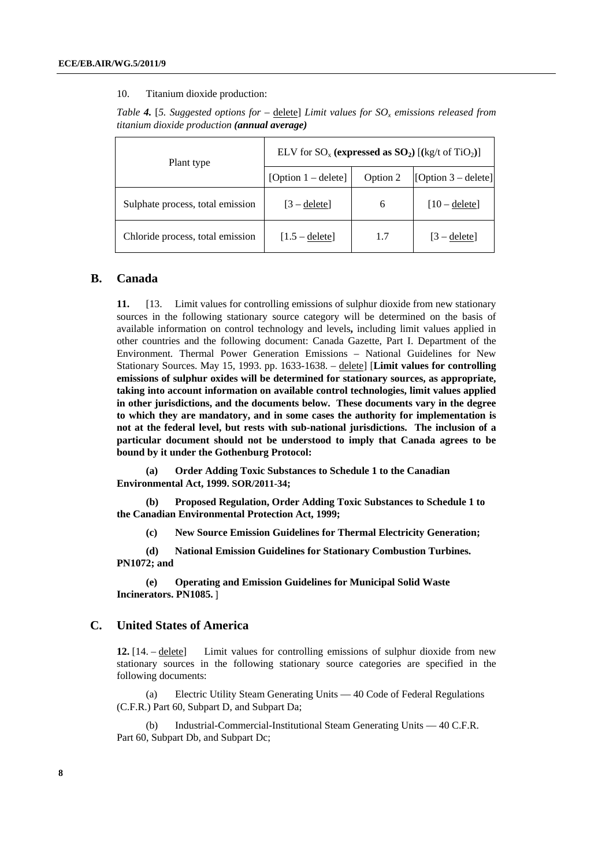#### 10. Titanium dioxide production:

| Table 4. [5. Suggested options for – delete] Limit values for $SO_x$ emissions released from |  |  |
|----------------------------------------------------------------------------------------------|--|--|
| <i>titanium dioxide production (annual average)</i>                                          |  |  |

| Plant type                       | ELV for $SO_x$ (expressed as $SO_2$ ) [(kg/t of TiO <sub>2</sub> )] |          |                       |  |  |
|----------------------------------|---------------------------------------------------------------------|----------|-----------------------|--|--|
|                                  | [Option $1 -$ delete]                                               | Option 2 | $[Option 3 - delete]$ |  |  |
| Sulphate process, total emission | $[3 -$ delete]                                                      | 6        | $[10 -$ deletel       |  |  |
| Chloride process, total emission | $[1.5 -$ delete]                                                    | 1.7      | $[3 -$ deletel        |  |  |

#### **B. Canada**

**11.** [13. Limit values for controlling emissions of sulphur dioxide from new stationary sources in the following stationary source category will be determined on the basis of available information on control technology and levels**,** including limit values applied in other countries and the following document: Canada Gazette, Part I. Department of the Environment. Thermal Power Generation Emissions – National Guidelines for New Stationary Sources. May 15, 1993. pp. 1633-1638. – delete] [**Limit values for controlling emissions of sulphur oxides will be determined for stationary sources, as appropriate, taking into account information on available control technologies, limit values applied in other jurisdictions, and the documents below. These documents vary in the degree to which they are mandatory, and in some cases the authority for implementation is not at the federal level, but rests with sub-national jurisdictions. The inclusion of a particular document should not be understood to imply that Canada agrees to be bound by it under the Gothenburg Protocol:**

**(a) Order Adding Toxic Substances to Schedule 1 to the Canadian Environmental Act, 1999. SOR/2011-34;** 

**(b) Proposed Regulation, Order Adding Toxic Substances to Schedule 1 to the Canadian Environmental Protection Act, 1999;** 

**(c) New Source Emission Guidelines for Thermal Electricity Generation;** 

**(d) National Emission Guidelines for Stationary Combustion Turbines. PN1072; and** 

**(e) [Operating and Emission Guidelines for Municipal Solid Waste](http://www.ccme.ca/assets/pdf/pn_1085_e.pdf)  [Incinerators. PN1085.](http://www.ccme.ca/assets/pdf/pn_1085_e.pdf)** ]

#### **C. United States of America**

**12.** [14. – delete] Limit values for controlling emissions of sulphur dioxide from new stationary sources in the following stationary source categories are specified in the following documents:

(a) Electric Utility Steam Generating Units — 40 Code of Federal Regulations (C.F.R.) Part 60, Subpart D, and Subpart Da;

(b) Industrial-Commercial-Institutional Steam Generating Units — 40 C.F.R. Part 60, Subpart Db, and Subpart Dc;